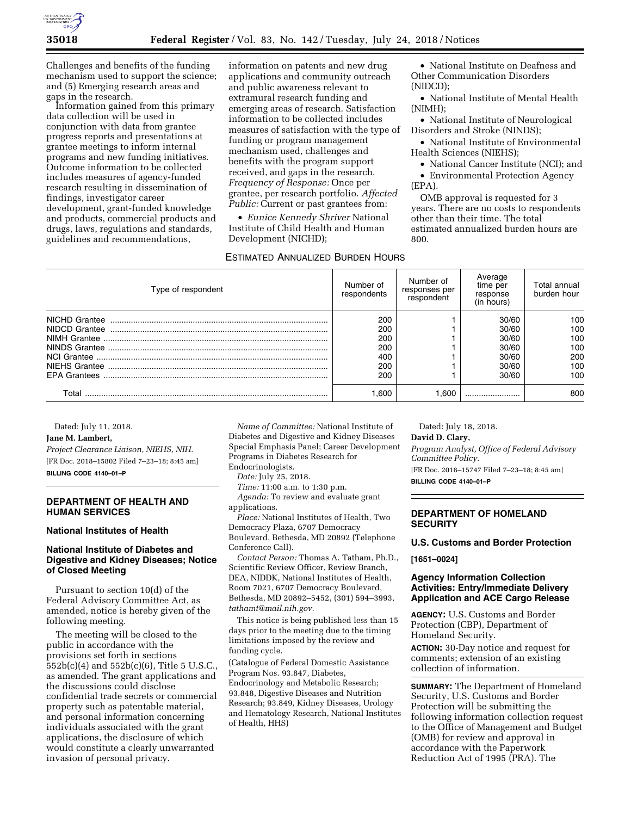

Challenges and benefits of the funding mechanism used to support the science; and (5) Emerging research areas and gaps in the research.

Information gained from this primary data collection will be used in conjunction with data from grantee progress reports and presentations at grantee meetings to inform internal programs and new funding initiatives. Outcome information to be collected includes measures of agency-funded research resulting in dissemination of findings, investigator career development, grant-funded knowledge and products, commercial products and drugs, laws, regulations and standards, guidelines and recommendations,

information on patents and new drug applications and community outreach and public awareness relevant to extramural research funding and emerging areas of research. Satisfaction information to be collected includes measures of satisfaction with the type of funding or program management mechanism used, challenges and benefits with the program support received, and gaps in the research. *Frequency of Response:* Once per grantee, per research portfolio. *Affected Public:* Current or past grantees from:

• *Eunice Kennedy Shriver* National Institute of Child Health and Human Development (NICHD);

## ESTIMATED ANNUALIZED BURDEN HOURS

• National Institute on Deafness and Other Communication Disorders (NIDCD);

• National Institute of Mental Health (NIMH);

• National Institute of Neurological Disorders and Stroke (NINDS);

• National Institute of Environmental Health Sciences (NIEHS);

• National Cancer Institute (NCI); and

• Environmental Protection Agency (EPA).

OMB approval is requested for 3 years. There are no costs to respondents other than their time. The total estimated annualized burden hours are 800.

| Type of respondent  | Number of<br>respondents | Number of<br>responses per<br>respondent | Average<br>time per<br>response<br>(in hours) | Total annual<br>burden hour |
|---------------------|--------------------------|------------------------------------------|-----------------------------------------------|-----------------------------|
| NICHD Grantee       | 200                      |                                          | 30/60                                         | 100                         |
| NIDCD Grantee       | 200                      |                                          | 30/60                                         | 100                         |
|                     | 200                      |                                          | 30/60                                         | 100                         |
|                     | 200                      |                                          | 30/60                                         | 100                         |
|                     | 400                      |                                          | 30/60                                         | 200                         |
|                     | 200                      |                                          | 30/60                                         | 100                         |
| <b>EPA Grantees</b> | 200                      |                                          | 30/60                                         | 100                         |
| Total               | .600                     | .600                                     |                                               | 800                         |

Dated: July 11, 2018.

## **Jane M. Lambert,**

*Project Clearance Liaison, NIEHS, NIH.*  [FR Doc. 2018–15802 Filed 7–23–18; 8:45 am] **BILLING CODE 4140–01–P** 

## **DEPARTMENT OF HEALTH AND HUMAN SERVICES**

#### **National Institutes of Health**

# **National Institute of Diabetes and Digestive and Kidney Diseases; Notice of Closed Meeting**

Pursuant to section 10(d) of the Federal Advisory Committee Act, as amended, notice is hereby given of the following meeting.

The meeting will be closed to the public in accordance with the provisions set forth in sections 552b(c)(4) and 552b(c)(6), Title 5 U.S.C., as amended. The grant applications and the discussions could disclose confidential trade secrets or commercial property such as patentable material, and personal information concerning individuals associated with the grant applications, the disclosure of which would constitute a clearly unwarranted invasion of personal privacy.

*Name of Committee:* National Institute of Diabetes and Digestive and Kidney Diseases Special Emphasis Panel; Career Development Programs in Diabetes Research for Endocrinologists.

*Date:* July 25, 2018.

*Time:* 11:00 a.m. to 1:30 p.m.

*Agenda:* To review and evaluate grant applications.

*Place:* National Institutes of Health, Two Democracy Plaza, 6707 Democracy Boulevard, Bethesda, MD 20892 (Telephone Conference Call).

*Contact Person:* Thomas A. Tatham, Ph.D., Scientific Review Officer, Review Branch, DEA, NIDDK, National Institutes of Health, Room 7021, 6707 Democracy Boulevard, Bethesda, MD 20892–5452, (301) 594–3993, *[tathamt@mail.nih.gov.](mailto:tathamt@mail.nih.gov)* 

This notice is being published less than 15 days prior to the meeting due to the timing limitations imposed by the review and funding cycle.

(Catalogue of Federal Domestic Assistance Program Nos. 93.847, Diabetes, Endocrinology and Metabolic Research; 93.848, Digestive Diseases and Nutrition Research; 93.849, Kidney Diseases, Urology and Hematology Research, National Institutes of Health, HHS)

Dated: July 18, 2018.

**David D. Clary,** 

*Program Analyst, Office of Federal Advisory Committee Policy.* 

[FR Doc. 2018–15747 Filed 7–23–18; 8:45 am]

**BILLING CODE 4140–01–P** 

# **DEPARTMENT OF HOMELAND SECURITY**

### **U.S. Customs and Border Protection**

**[1651–0024]** 

## **Agency Information Collection Activities: Entry/Immediate Delivery Application and ACE Cargo Release**

**AGENCY:** U.S. Customs and Border Protection (CBP), Department of Homeland Security.

**ACTION:** 30-Day notice and request for comments; extension of an existing collection of information.

**SUMMARY:** The Department of Homeland Security, U.S. Customs and Border Protection will be submitting the following information collection request to the Office of Management and Budget (OMB) for review and approval in accordance with the Paperwork Reduction Act of 1995 (PRA). The